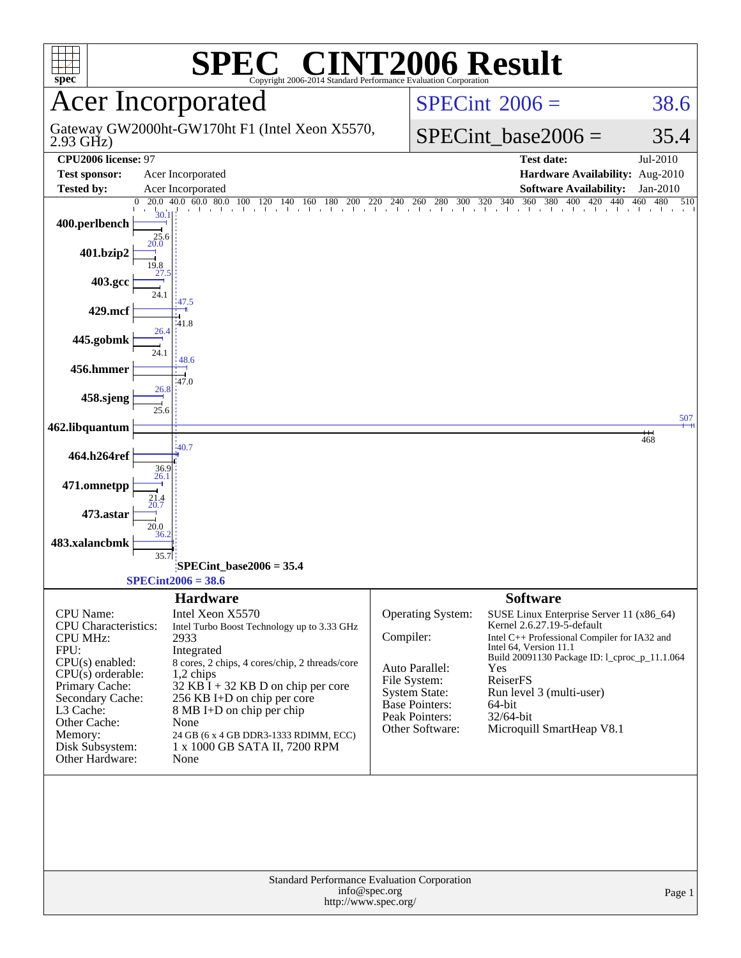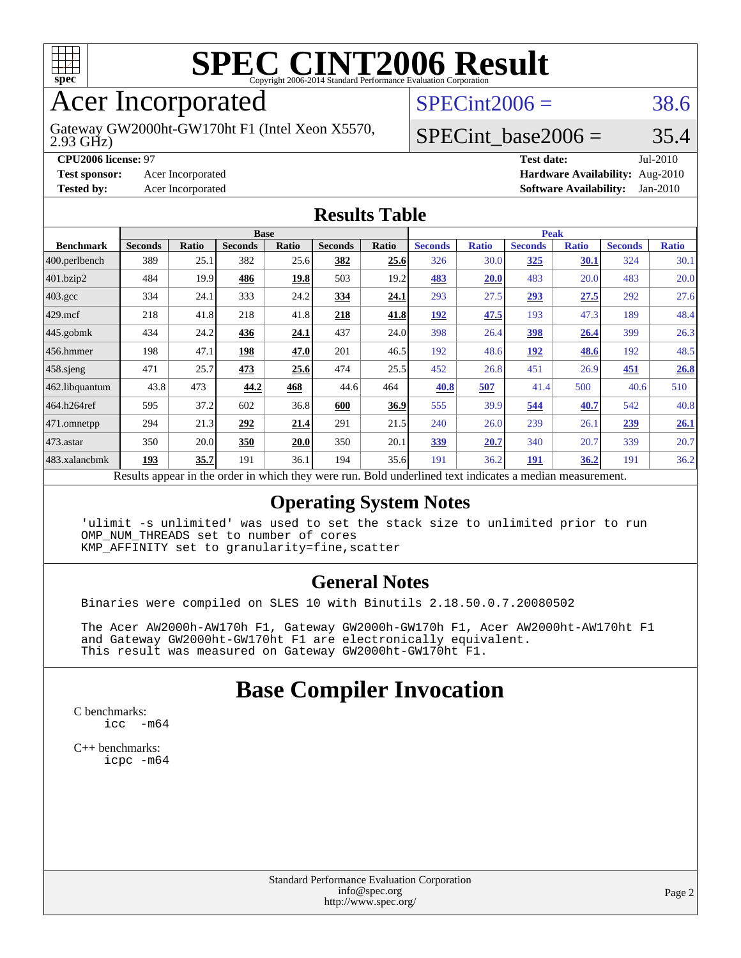

# Acer Incorporated

2.93 GHz) Gateway GW2000ht-GW170ht F1 (Intel Xeon X5570,

 $SPECint2006 = 38.6$  $SPECint2006 = 38.6$ 

#### SPECint base2006 =  $35.4$

**[CPU2006 license:](http://www.spec.org/auto/cpu2006/Docs/result-fields.html#CPU2006license)** 97 **[Test date:](http://www.spec.org/auto/cpu2006/Docs/result-fields.html#Testdate)** Jul-2010 **[Test sponsor:](http://www.spec.org/auto/cpu2006/Docs/result-fields.html#Testsponsor)** Acer Incorporated **[Hardware Availability:](http://www.spec.org/auto/cpu2006/Docs/result-fields.html#HardwareAvailability)** Aug-2010 **[Tested by:](http://www.spec.org/auto/cpu2006/Docs/result-fields.html#Testedby)** Acer Incorporated **[Software Availability:](http://www.spec.org/auto/cpu2006/Docs/result-fields.html#SoftwareAvailability)** Jan-2010

#### **[Results Table](http://www.spec.org/auto/cpu2006/Docs/result-fields.html#ResultsTable)**

|                         | <b>Base</b>    |       |                |       |                |       | <b>Peak</b>                                                                                              |              |                |              |                |              |
|-------------------------|----------------|-------|----------------|-------|----------------|-------|----------------------------------------------------------------------------------------------------------|--------------|----------------|--------------|----------------|--------------|
| <b>Benchmark</b>        | <b>Seconds</b> | Ratio | <b>Seconds</b> | Ratio | <b>Seconds</b> | Ratio | <b>Seconds</b>                                                                                           | <b>Ratio</b> | <b>Seconds</b> | <b>Ratio</b> | <b>Seconds</b> | <b>Ratio</b> |
| $ 400.\text{perlbench}$ | 389            | 25.1  | 382            | 25.6  | 382            | 25.6  | 326                                                                                                      | 30.0         | 325            | 30.1         | 324            | 30.1         |
| 401.bzip2               | 484            | 19.9  | 486            | 19.8  | 503            | 19.2  | 483                                                                                                      | 20.0         | 483            | 20.0         | 483            | 20.0         |
| $403.\mathrm{gcc}$      | 334            | 24.1  | 333            | 24.2  | 334            | 24.1  | 293                                                                                                      | 27.5         | 293            | 27.5         | 292            | 27.6         |
| $429$ mcf               | 218            | 41.8  | 218            | 41.8  | 218            | 41.8  | 192                                                                                                      | 47.5         | 193            | 47.3         | 189            | 48.4         |
| $445$ .gobmk            | 434            | 24.2  | 436            | 24.1  | 437            | 24.0  | 398                                                                                                      | 26.4         | <u>398</u>     | 26.4         | 399            | 26.3         |
| $456.$ hmmer            | 198            | 47.1  | 198            | 47.0  | 201            | 46.5  | 192                                                                                                      | 48.6         | 192            | 48.6         | 192            | 48.5         |
| $458$ .sjeng            | 471            | 25.7  | 473            | 25.6  | 474            | 25.5  | 452                                                                                                      | 26.8         | 451            | 26.9         | 451            | 26.8         |
| 462.libquantum          | 43.8           | 473   | 44.2           | 468   | 44.6           | 464   | 40.8                                                                                                     | 507          | 41.4           | 500          | 40.6           | 510          |
| 464.h264ref             | 595            | 37.2  | 602            | 36.8  | 600            | 36.9  | 555                                                                                                      | 39.9         | 544            | 40.7         | 542            | 40.8         |
| $471$ .omnetpp          | 294            | 21.3  | 292            | 21.4  | 291            | 21.5  | 240                                                                                                      | 26.0         | 239            | 26.1         | 239            | 26.1         |
| $473$ . astar           | 350            | 20.0  | 350            | 20.0  | 350            | 20.1  | 339                                                                                                      | 20.7         | 340            | 20.7         | 339            | 20.7         |
| 483.xalancbmk           | 193            | 35.7  | 191            | 36.1  | 194            | 35.6  | 191                                                                                                      | 36.2         | 191            | 36.2         | 191            | 36.2         |
|                         |                |       |                |       |                |       | Results appear in the order in which they were run. Bold underlined text indicates a median measurement. |              |                |              |                |              |

#### **[Operating System Notes](http://www.spec.org/auto/cpu2006/Docs/result-fields.html#OperatingSystemNotes)**

 'ulimit -s unlimited' was used to set the stack size to unlimited prior to run OMP\_NUM\_THREADS set to number of cores KMP\_AFFINITY set to granularity=fine,scatter

#### **[General Notes](http://www.spec.org/auto/cpu2006/Docs/result-fields.html#GeneralNotes)**

Binaries were compiled on SLES 10 with Binutils 2.18.50.0.7.20080502

 The Acer AW2000h-AW170h F1, Gateway GW2000h-GW170h F1, Acer AW2000ht-AW170ht F1 and Gateway GW2000ht-GW170ht F1 are electronically equivalent. This result was measured on Gateway GW2000ht-GW170ht F1.

# **[Base Compiler Invocation](http://www.spec.org/auto/cpu2006/Docs/result-fields.html#BaseCompilerInvocation)**

[C benchmarks](http://www.spec.org/auto/cpu2006/Docs/result-fields.html#Cbenchmarks):  $inc - m64$ 

[C++ benchmarks:](http://www.spec.org/auto/cpu2006/Docs/result-fields.html#CXXbenchmarks) [icpc -m64](http://www.spec.org/cpu2006/results/res2010q3/cpu2006-20100802-12801.flags.html#user_CXXbase_intel_icpc_64bit_fc66a5337ce925472a5c54ad6a0de310)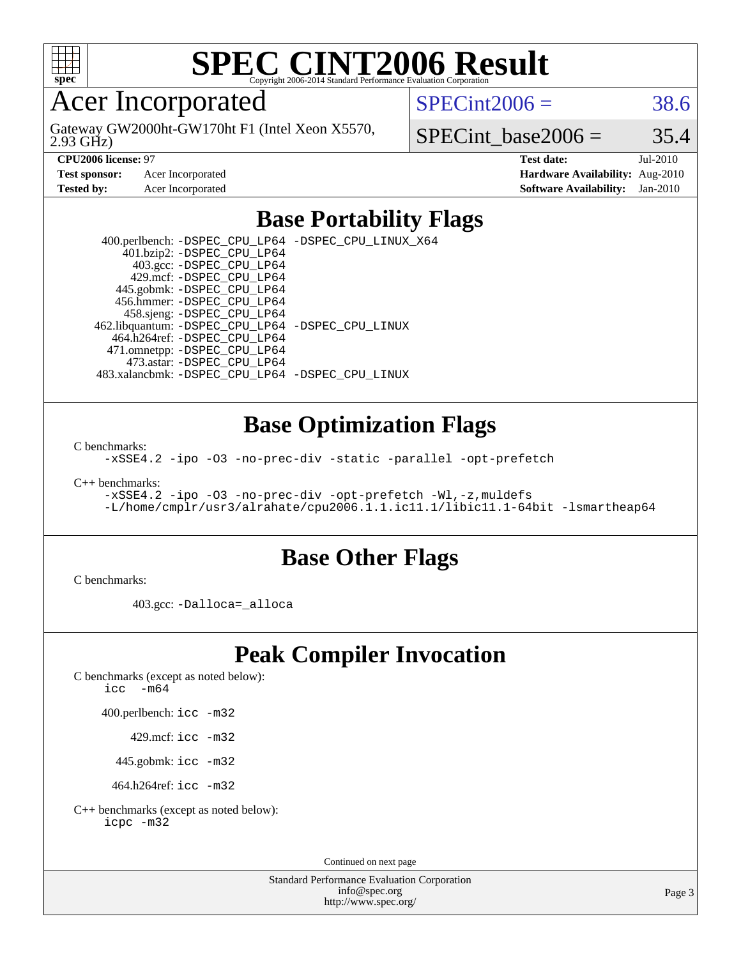

## Acer Incorporated

2.93 GHz) Gateway GW2000ht-GW170ht F1 (Intel Xeon X5570,  $SPECint2006 = 38.6$  $SPECint2006 = 38.6$ 

SPECint base2006 =  $35.4$ 

**[CPU2006 license:](http://www.spec.org/auto/cpu2006/Docs/result-fields.html#CPU2006license)** 97 **[Test date:](http://www.spec.org/auto/cpu2006/Docs/result-fields.html#Testdate)** Jul-2010 **[Test sponsor:](http://www.spec.org/auto/cpu2006/Docs/result-fields.html#Testsponsor)** Acer Incorporated **[Hardware Availability:](http://www.spec.org/auto/cpu2006/Docs/result-fields.html#HardwareAvailability)** Aug-2010 **[Tested by:](http://www.spec.org/auto/cpu2006/Docs/result-fields.html#Testedby)** Acer Incorporated **[Software Availability:](http://www.spec.org/auto/cpu2006/Docs/result-fields.html#SoftwareAvailability)** Jan-2010

### **[Base Portability Flags](http://www.spec.org/auto/cpu2006/Docs/result-fields.html#BasePortabilityFlags)**

 400.perlbench: [-DSPEC\\_CPU\\_LP64](http://www.spec.org/cpu2006/results/res2010q3/cpu2006-20100802-12801.flags.html#b400.perlbench_basePORTABILITY_DSPEC_CPU_LP64) [-DSPEC\\_CPU\\_LINUX\\_X64](http://www.spec.org/cpu2006/results/res2010q3/cpu2006-20100802-12801.flags.html#b400.perlbench_baseCPORTABILITY_DSPEC_CPU_LINUX_X64) 401.bzip2: [-DSPEC\\_CPU\\_LP64](http://www.spec.org/cpu2006/results/res2010q3/cpu2006-20100802-12801.flags.html#suite_basePORTABILITY401_bzip2_DSPEC_CPU_LP64) 403.gcc: [-DSPEC\\_CPU\\_LP64](http://www.spec.org/cpu2006/results/res2010q3/cpu2006-20100802-12801.flags.html#suite_basePORTABILITY403_gcc_DSPEC_CPU_LP64) 429.mcf: [-DSPEC\\_CPU\\_LP64](http://www.spec.org/cpu2006/results/res2010q3/cpu2006-20100802-12801.flags.html#suite_basePORTABILITY429_mcf_DSPEC_CPU_LP64) 445.gobmk: [-DSPEC\\_CPU\\_LP64](http://www.spec.org/cpu2006/results/res2010q3/cpu2006-20100802-12801.flags.html#suite_basePORTABILITY445_gobmk_DSPEC_CPU_LP64) 456.hmmer: [-DSPEC\\_CPU\\_LP64](http://www.spec.org/cpu2006/results/res2010q3/cpu2006-20100802-12801.flags.html#suite_basePORTABILITY456_hmmer_DSPEC_CPU_LP64) 458.sjeng: [-DSPEC\\_CPU\\_LP64](http://www.spec.org/cpu2006/results/res2010q3/cpu2006-20100802-12801.flags.html#suite_basePORTABILITY458_sjeng_DSPEC_CPU_LP64) 462.libquantum: [-DSPEC\\_CPU\\_LP64](http://www.spec.org/cpu2006/results/res2010q3/cpu2006-20100802-12801.flags.html#suite_basePORTABILITY462_libquantum_DSPEC_CPU_LP64) [-DSPEC\\_CPU\\_LINUX](http://www.spec.org/cpu2006/results/res2010q3/cpu2006-20100802-12801.flags.html#b462.libquantum_baseCPORTABILITY_DSPEC_CPU_LINUX) 464.h264ref: [-DSPEC\\_CPU\\_LP64](http://www.spec.org/cpu2006/results/res2010q3/cpu2006-20100802-12801.flags.html#suite_basePORTABILITY464_h264ref_DSPEC_CPU_LP64) 471.omnetpp: [-DSPEC\\_CPU\\_LP64](http://www.spec.org/cpu2006/results/res2010q3/cpu2006-20100802-12801.flags.html#suite_basePORTABILITY471_omnetpp_DSPEC_CPU_LP64) 473.astar: [-DSPEC\\_CPU\\_LP64](http://www.spec.org/cpu2006/results/res2010q3/cpu2006-20100802-12801.flags.html#suite_basePORTABILITY473_astar_DSPEC_CPU_LP64) 483.xalancbmk: [-DSPEC\\_CPU\\_LP64](http://www.spec.org/cpu2006/results/res2010q3/cpu2006-20100802-12801.flags.html#suite_basePORTABILITY483_xalancbmk_DSPEC_CPU_LP64) [-DSPEC\\_CPU\\_LINUX](http://www.spec.org/cpu2006/results/res2010q3/cpu2006-20100802-12801.flags.html#b483.xalancbmk_baseCXXPORTABILITY_DSPEC_CPU_LINUX)

### **[Base Optimization Flags](http://www.spec.org/auto/cpu2006/Docs/result-fields.html#BaseOptimizationFlags)**

[C benchmarks](http://www.spec.org/auto/cpu2006/Docs/result-fields.html#Cbenchmarks):

[-xSSE4.2](http://www.spec.org/cpu2006/results/res2010q3/cpu2006-20100802-12801.flags.html#user_CCbase_f-xSSE42_f91528193cf0b216347adb8b939d4107) [-ipo](http://www.spec.org/cpu2006/results/res2010q3/cpu2006-20100802-12801.flags.html#user_CCbase_f-ipo) [-O3](http://www.spec.org/cpu2006/results/res2010q3/cpu2006-20100802-12801.flags.html#user_CCbase_f-O3) [-no-prec-div](http://www.spec.org/cpu2006/results/res2010q3/cpu2006-20100802-12801.flags.html#user_CCbase_f-no-prec-div) [-static](http://www.spec.org/cpu2006/results/res2010q3/cpu2006-20100802-12801.flags.html#user_CCbase_f-static) [-parallel](http://www.spec.org/cpu2006/results/res2010q3/cpu2006-20100802-12801.flags.html#user_CCbase_f-parallel) [-opt-prefetch](http://www.spec.org/cpu2006/results/res2010q3/cpu2006-20100802-12801.flags.html#user_CCbase_f-opt-prefetch)

[C++ benchmarks:](http://www.spec.org/auto/cpu2006/Docs/result-fields.html#CXXbenchmarks)

[-xSSE4.2](http://www.spec.org/cpu2006/results/res2010q3/cpu2006-20100802-12801.flags.html#user_CXXbase_f-xSSE42_f91528193cf0b216347adb8b939d4107) [-ipo](http://www.spec.org/cpu2006/results/res2010q3/cpu2006-20100802-12801.flags.html#user_CXXbase_f-ipo) [-O3](http://www.spec.org/cpu2006/results/res2010q3/cpu2006-20100802-12801.flags.html#user_CXXbase_f-O3) [-no-prec-div](http://www.spec.org/cpu2006/results/res2010q3/cpu2006-20100802-12801.flags.html#user_CXXbase_f-no-prec-div) [-opt-prefetch](http://www.spec.org/cpu2006/results/res2010q3/cpu2006-20100802-12801.flags.html#user_CXXbase_f-opt-prefetch) [-Wl,-z,muldefs](http://www.spec.org/cpu2006/results/res2010q3/cpu2006-20100802-12801.flags.html#user_CXXbase_link_force_multiple1_74079c344b956b9658436fd1b6dd3a8a) [-L/home/cmplr/usr3/alrahate/cpu2006.1.1.ic11.1/libic11.1-64bit -lsmartheap64](http://www.spec.org/cpu2006/results/res2010q3/cpu2006-20100802-12801.flags.html#user_CXXbase_SmartHeap64_e2306cda84805d1ab360117a79ff779c)

### **[Base Other Flags](http://www.spec.org/auto/cpu2006/Docs/result-fields.html#BaseOtherFlags)**

[C benchmarks](http://www.spec.org/auto/cpu2006/Docs/result-fields.html#Cbenchmarks):

403.gcc: [-Dalloca=\\_alloca](http://www.spec.org/cpu2006/results/res2010q3/cpu2006-20100802-12801.flags.html#b403.gcc_baseEXTRA_CFLAGS_Dalloca_be3056838c12de2578596ca5467af7f3)

# **[Peak Compiler Invocation](http://www.spec.org/auto/cpu2006/Docs/result-fields.html#PeakCompilerInvocation)**

[C benchmarks \(except as noted below\)](http://www.spec.org/auto/cpu2006/Docs/result-fields.html#Cbenchmarksexceptasnotedbelow):

icc  $-m64$ 

400.perlbench: [icc -m32](http://www.spec.org/cpu2006/results/res2010q3/cpu2006-20100802-12801.flags.html#user_peakCCLD400_perlbench_intel_icc_32bit_a6a621f8d50482236b970c6ac5f55f93)

429.mcf: [icc -m32](http://www.spec.org/cpu2006/results/res2010q3/cpu2006-20100802-12801.flags.html#user_peakCCLD429_mcf_intel_icc_32bit_a6a621f8d50482236b970c6ac5f55f93)

445.gobmk: [icc -m32](http://www.spec.org/cpu2006/results/res2010q3/cpu2006-20100802-12801.flags.html#user_peakCCLD445_gobmk_intel_icc_32bit_a6a621f8d50482236b970c6ac5f55f93)

464.h264ref: [icc -m32](http://www.spec.org/cpu2006/results/res2010q3/cpu2006-20100802-12801.flags.html#user_peakCCLD464_h264ref_intel_icc_32bit_a6a621f8d50482236b970c6ac5f55f93)

[C++ benchmarks \(except as noted below\):](http://www.spec.org/auto/cpu2006/Docs/result-fields.html#CXXbenchmarksexceptasnotedbelow) [icpc -m32](http://www.spec.org/cpu2006/results/res2010q3/cpu2006-20100802-12801.flags.html#user_CXXpeak_intel_icpc_32bit_4e5a5ef1a53fd332b3c49e69c3330699)

Continued on next page

Standard Performance Evaluation Corporation [info@spec.org](mailto:info@spec.org) <http://www.spec.org/>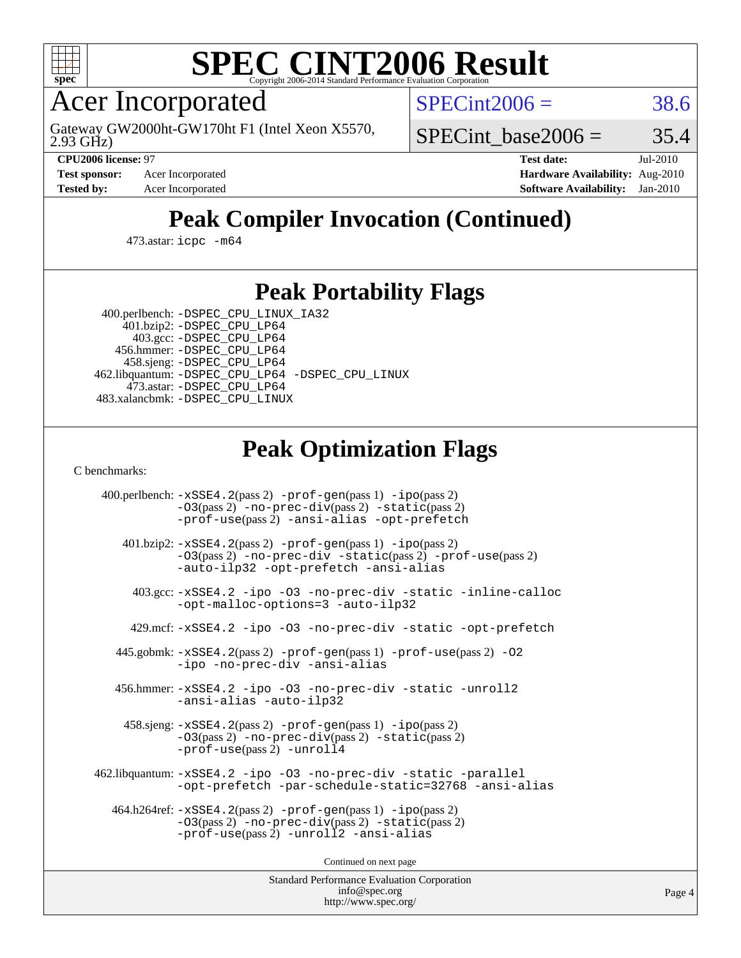

Acer Incorporated

2.93 GHz) Gateway GW2000ht-GW170ht F1 (Intel Xeon X5570,  $SPECint2006 = 38.6$  $SPECint2006 = 38.6$ 

SPECint base2006 =  $35.4$ 

**[CPU2006 license:](http://www.spec.org/auto/cpu2006/Docs/result-fields.html#CPU2006license)** 97 **[Test date:](http://www.spec.org/auto/cpu2006/Docs/result-fields.html#Testdate)** Jul-2010 **[Test sponsor:](http://www.spec.org/auto/cpu2006/Docs/result-fields.html#Testsponsor)** Acer Incorporated **[Hardware Availability:](http://www.spec.org/auto/cpu2006/Docs/result-fields.html#HardwareAvailability)** Aug-2010 **[Tested by:](http://www.spec.org/auto/cpu2006/Docs/result-fields.html#Testedby)** Acer Incorporated **[Software Availability:](http://www.spec.org/auto/cpu2006/Docs/result-fields.html#SoftwareAvailability)** Jan-2010

# **[Peak Compiler Invocation \(Continued\)](http://www.spec.org/auto/cpu2006/Docs/result-fields.html#PeakCompilerInvocation)**

473.astar: [icpc -m64](http://www.spec.org/cpu2006/results/res2010q3/cpu2006-20100802-12801.flags.html#user_peakCXXLD473_astar_intel_icpc_64bit_fc66a5337ce925472a5c54ad6a0de310)

## **[Peak Portability Flags](http://www.spec.org/auto/cpu2006/Docs/result-fields.html#PeakPortabilityFlags)**

 400.perlbench: [-DSPEC\\_CPU\\_LINUX\\_IA32](http://www.spec.org/cpu2006/results/res2010q3/cpu2006-20100802-12801.flags.html#b400.perlbench_peakCPORTABILITY_DSPEC_CPU_LINUX_IA32) 401.bzip2: [-DSPEC\\_CPU\\_LP64](http://www.spec.org/cpu2006/results/res2010q3/cpu2006-20100802-12801.flags.html#suite_peakPORTABILITY401_bzip2_DSPEC_CPU_LP64)

 403.gcc: [-DSPEC\\_CPU\\_LP64](http://www.spec.org/cpu2006/results/res2010q3/cpu2006-20100802-12801.flags.html#suite_peakPORTABILITY403_gcc_DSPEC_CPU_LP64) 456.hmmer: [-DSPEC\\_CPU\\_LP64](http://www.spec.org/cpu2006/results/res2010q3/cpu2006-20100802-12801.flags.html#suite_peakPORTABILITY456_hmmer_DSPEC_CPU_LP64) 458.sjeng: [-DSPEC\\_CPU\\_LP64](http://www.spec.org/cpu2006/results/res2010q3/cpu2006-20100802-12801.flags.html#suite_peakPORTABILITY458_sjeng_DSPEC_CPU_LP64) 462.libquantum: [-DSPEC\\_CPU\\_LP64](http://www.spec.org/cpu2006/results/res2010q3/cpu2006-20100802-12801.flags.html#suite_peakPORTABILITY462_libquantum_DSPEC_CPU_LP64) [-DSPEC\\_CPU\\_LINUX](http://www.spec.org/cpu2006/results/res2010q3/cpu2006-20100802-12801.flags.html#b462.libquantum_peakCPORTABILITY_DSPEC_CPU_LINUX) 473.astar: [-DSPEC\\_CPU\\_LP64](http://www.spec.org/cpu2006/results/res2010q3/cpu2006-20100802-12801.flags.html#suite_peakPORTABILITY473_astar_DSPEC_CPU_LP64) 483.xalancbmk: [-DSPEC\\_CPU\\_LINUX](http://www.spec.org/cpu2006/results/res2010q3/cpu2006-20100802-12801.flags.html#b483.xalancbmk_peakCXXPORTABILITY_DSPEC_CPU_LINUX)

# **[Peak Optimization Flags](http://www.spec.org/auto/cpu2006/Docs/result-fields.html#PeakOptimizationFlags)**

[C benchmarks](http://www.spec.org/auto/cpu2006/Docs/result-fields.html#Cbenchmarks):

 400.perlbench: [-xSSE4.2](http://www.spec.org/cpu2006/results/res2010q3/cpu2006-20100802-12801.flags.html#user_peakPASS2_CFLAGSPASS2_LDCFLAGS400_perlbench_f-xSSE42_f91528193cf0b216347adb8b939d4107)(pass 2) [-prof-gen](http://www.spec.org/cpu2006/results/res2010q3/cpu2006-20100802-12801.flags.html#user_peakPASS1_CFLAGSPASS1_LDCFLAGS400_perlbench_prof_gen_e43856698f6ca7b7e442dfd80e94a8fc)(pass 1) [-ipo](http://www.spec.org/cpu2006/results/res2010q3/cpu2006-20100802-12801.flags.html#user_peakPASS2_CFLAGSPASS2_LDCFLAGS400_perlbench_f-ipo)(pass 2) [-O3](http://www.spec.org/cpu2006/results/res2010q3/cpu2006-20100802-12801.flags.html#user_peakPASS2_CFLAGSPASS2_LDCFLAGS400_perlbench_f-O3)(pass 2) [-no-prec-div](http://www.spec.org/cpu2006/results/res2010q3/cpu2006-20100802-12801.flags.html#user_peakPASS2_CFLAGSPASS2_LDCFLAGS400_perlbench_f-no-prec-div)(pass 2) [-static](http://www.spec.org/cpu2006/results/res2010q3/cpu2006-20100802-12801.flags.html#user_peakPASS2_CFLAGSPASS2_LDCFLAGS400_perlbench_f-static)(pass 2) [-prof-use](http://www.spec.org/cpu2006/results/res2010q3/cpu2006-20100802-12801.flags.html#user_peakPASS2_CFLAGSPASS2_LDCFLAGS400_perlbench_prof_use_bccf7792157ff70d64e32fe3e1250b55)(pass 2) [-ansi-alias](http://www.spec.org/cpu2006/results/res2010q3/cpu2006-20100802-12801.flags.html#user_peakCOPTIMIZE400_perlbench_f-ansi-alias) [-opt-prefetch](http://www.spec.org/cpu2006/results/res2010q3/cpu2006-20100802-12801.flags.html#user_peakCOPTIMIZE400_perlbench_f-opt-prefetch) 401.bzip2: [-xSSE4.2](http://www.spec.org/cpu2006/results/res2010q3/cpu2006-20100802-12801.flags.html#user_peakPASS2_CFLAGSPASS2_LDCFLAGS401_bzip2_f-xSSE42_f91528193cf0b216347adb8b939d4107)(pass 2) [-prof-gen](http://www.spec.org/cpu2006/results/res2010q3/cpu2006-20100802-12801.flags.html#user_peakPASS1_CFLAGSPASS1_LDCFLAGS401_bzip2_prof_gen_e43856698f6ca7b7e442dfd80e94a8fc)(pass 1) [-ipo](http://www.spec.org/cpu2006/results/res2010q3/cpu2006-20100802-12801.flags.html#user_peakPASS2_CFLAGSPASS2_LDCFLAGS401_bzip2_f-ipo)(pass 2) [-O3](http://www.spec.org/cpu2006/results/res2010q3/cpu2006-20100802-12801.flags.html#user_peakPASS2_CFLAGSPASS2_LDCFLAGS401_bzip2_f-O3)(pass 2) [-no-prec-div](http://www.spec.org/cpu2006/results/res2010q3/cpu2006-20100802-12801.flags.html#user_peakCOPTIMIZEPASS2_CFLAGSPASS2_LDCFLAGS401_bzip2_f-no-prec-div) [-static](http://www.spec.org/cpu2006/results/res2010q3/cpu2006-20100802-12801.flags.html#user_peakPASS2_CFLAGSPASS2_LDCFLAGS401_bzip2_f-static)(pass 2) [-prof-use](http://www.spec.org/cpu2006/results/res2010q3/cpu2006-20100802-12801.flags.html#user_peakPASS2_CFLAGSPASS2_LDCFLAGS401_bzip2_prof_use_bccf7792157ff70d64e32fe3e1250b55)(pass 2) [-auto-ilp32](http://www.spec.org/cpu2006/results/res2010q3/cpu2006-20100802-12801.flags.html#user_peakCOPTIMIZE401_bzip2_f-auto-ilp32) [-opt-prefetch](http://www.spec.org/cpu2006/results/res2010q3/cpu2006-20100802-12801.flags.html#user_peakCOPTIMIZE401_bzip2_f-opt-prefetch) [-ansi-alias](http://www.spec.org/cpu2006/results/res2010q3/cpu2006-20100802-12801.flags.html#user_peakCOPTIMIZE401_bzip2_f-ansi-alias) 403.gcc: [-xSSE4.2](http://www.spec.org/cpu2006/results/res2010q3/cpu2006-20100802-12801.flags.html#user_peakCOPTIMIZE403_gcc_f-xSSE42_f91528193cf0b216347adb8b939d4107) [-ipo](http://www.spec.org/cpu2006/results/res2010q3/cpu2006-20100802-12801.flags.html#user_peakCOPTIMIZE403_gcc_f-ipo) [-O3](http://www.spec.org/cpu2006/results/res2010q3/cpu2006-20100802-12801.flags.html#user_peakCOPTIMIZE403_gcc_f-O3) [-no-prec-div](http://www.spec.org/cpu2006/results/res2010q3/cpu2006-20100802-12801.flags.html#user_peakCOPTIMIZE403_gcc_f-no-prec-div) [-static](http://www.spec.org/cpu2006/results/res2010q3/cpu2006-20100802-12801.flags.html#user_peakCOPTIMIZE403_gcc_f-static) [-inline-calloc](http://www.spec.org/cpu2006/results/res2010q3/cpu2006-20100802-12801.flags.html#user_peakCOPTIMIZE403_gcc_f-inline-calloc) [-opt-malloc-options=3](http://www.spec.org/cpu2006/results/res2010q3/cpu2006-20100802-12801.flags.html#user_peakCOPTIMIZE403_gcc_f-opt-malloc-options_13ab9b803cf986b4ee62f0a5998c2238) [-auto-ilp32](http://www.spec.org/cpu2006/results/res2010q3/cpu2006-20100802-12801.flags.html#user_peakCOPTIMIZE403_gcc_f-auto-ilp32) 429.mcf: [-xSSE4.2](http://www.spec.org/cpu2006/results/res2010q3/cpu2006-20100802-12801.flags.html#user_peakCOPTIMIZE429_mcf_f-xSSE42_f91528193cf0b216347adb8b939d4107) [-ipo](http://www.spec.org/cpu2006/results/res2010q3/cpu2006-20100802-12801.flags.html#user_peakCOPTIMIZE429_mcf_f-ipo) [-O3](http://www.spec.org/cpu2006/results/res2010q3/cpu2006-20100802-12801.flags.html#user_peakCOPTIMIZE429_mcf_f-O3) [-no-prec-div](http://www.spec.org/cpu2006/results/res2010q3/cpu2006-20100802-12801.flags.html#user_peakCOPTIMIZE429_mcf_f-no-prec-div) [-static](http://www.spec.org/cpu2006/results/res2010q3/cpu2006-20100802-12801.flags.html#user_peakCOPTIMIZE429_mcf_f-static) [-opt-prefetch](http://www.spec.org/cpu2006/results/res2010q3/cpu2006-20100802-12801.flags.html#user_peakCOPTIMIZE429_mcf_f-opt-prefetch) 445.gobmk: [-xSSE4.2](http://www.spec.org/cpu2006/results/res2010q3/cpu2006-20100802-12801.flags.html#user_peakPASS2_CFLAGSPASS2_LDCFLAGS445_gobmk_f-xSSE42_f91528193cf0b216347adb8b939d4107)(pass 2) [-prof-gen](http://www.spec.org/cpu2006/results/res2010q3/cpu2006-20100802-12801.flags.html#user_peakPASS1_CFLAGSPASS1_LDCFLAGS445_gobmk_prof_gen_e43856698f6ca7b7e442dfd80e94a8fc)(pass 1) [-prof-use](http://www.spec.org/cpu2006/results/res2010q3/cpu2006-20100802-12801.flags.html#user_peakPASS2_CFLAGSPASS2_LDCFLAGS445_gobmk_prof_use_bccf7792157ff70d64e32fe3e1250b55)(pass 2) [-O2](http://www.spec.org/cpu2006/results/res2010q3/cpu2006-20100802-12801.flags.html#user_peakCOPTIMIZE445_gobmk_f-O2) [-ipo](http://www.spec.org/cpu2006/results/res2010q3/cpu2006-20100802-12801.flags.html#user_peakCOPTIMIZE445_gobmk_f-ipo) [-no-prec-div](http://www.spec.org/cpu2006/results/res2010q3/cpu2006-20100802-12801.flags.html#user_peakCOPTIMIZE445_gobmk_f-no-prec-div) [-ansi-alias](http://www.spec.org/cpu2006/results/res2010q3/cpu2006-20100802-12801.flags.html#user_peakCOPTIMIZE445_gobmk_f-ansi-alias) 456.hmmer: [-xSSE4.2](http://www.spec.org/cpu2006/results/res2010q3/cpu2006-20100802-12801.flags.html#user_peakCOPTIMIZE456_hmmer_f-xSSE42_f91528193cf0b216347adb8b939d4107) [-ipo](http://www.spec.org/cpu2006/results/res2010q3/cpu2006-20100802-12801.flags.html#user_peakCOPTIMIZE456_hmmer_f-ipo) [-O3](http://www.spec.org/cpu2006/results/res2010q3/cpu2006-20100802-12801.flags.html#user_peakCOPTIMIZE456_hmmer_f-O3) [-no-prec-div](http://www.spec.org/cpu2006/results/res2010q3/cpu2006-20100802-12801.flags.html#user_peakCOPTIMIZE456_hmmer_f-no-prec-div) [-static](http://www.spec.org/cpu2006/results/res2010q3/cpu2006-20100802-12801.flags.html#user_peakCOPTIMIZE456_hmmer_f-static) [-unroll2](http://www.spec.org/cpu2006/results/res2010q3/cpu2006-20100802-12801.flags.html#user_peakCOPTIMIZE456_hmmer_f-unroll_784dae83bebfb236979b41d2422d7ec2) [-ansi-alias](http://www.spec.org/cpu2006/results/res2010q3/cpu2006-20100802-12801.flags.html#user_peakCOPTIMIZE456_hmmer_f-ansi-alias) [-auto-ilp32](http://www.spec.org/cpu2006/results/res2010q3/cpu2006-20100802-12801.flags.html#user_peakCOPTIMIZE456_hmmer_f-auto-ilp32) 458.sjeng: [-xSSE4.2](http://www.spec.org/cpu2006/results/res2010q3/cpu2006-20100802-12801.flags.html#user_peakPASS2_CFLAGSPASS2_LDCFLAGS458_sjeng_f-xSSE42_f91528193cf0b216347adb8b939d4107)(pass 2) [-prof-gen](http://www.spec.org/cpu2006/results/res2010q3/cpu2006-20100802-12801.flags.html#user_peakPASS1_CFLAGSPASS1_LDCFLAGS458_sjeng_prof_gen_e43856698f6ca7b7e442dfd80e94a8fc)(pass 1) [-ipo](http://www.spec.org/cpu2006/results/res2010q3/cpu2006-20100802-12801.flags.html#user_peakPASS2_CFLAGSPASS2_LDCFLAGS458_sjeng_f-ipo)(pass 2) [-O3](http://www.spec.org/cpu2006/results/res2010q3/cpu2006-20100802-12801.flags.html#user_peakPASS2_CFLAGSPASS2_LDCFLAGS458_sjeng_f-O3)(pass 2) [-no-prec-div](http://www.spec.org/cpu2006/results/res2010q3/cpu2006-20100802-12801.flags.html#user_peakPASS2_CFLAGSPASS2_LDCFLAGS458_sjeng_f-no-prec-div)(pass 2) [-static](http://www.spec.org/cpu2006/results/res2010q3/cpu2006-20100802-12801.flags.html#user_peakPASS2_CFLAGSPASS2_LDCFLAGS458_sjeng_f-static)(pass 2) [-prof-use](http://www.spec.org/cpu2006/results/res2010q3/cpu2006-20100802-12801.flags.html#user_peakPASS2_CFLAGSPASS2_LDCFLAGS458_sjeng_prof_use_bccf7792157ff70d64e32fe3e1250b55)(pass 2) [-unroll4](http://www.spec.org/cpu2006/results/res2010q3/cpu2006-20100802-12801.flags.html#user_peakCOPTIMIZE458_sjeng_f-unroll_4e5e4ed65b7fd20bdcd365bec371b81f) 462.libquantum: [-xSSE4.2](http://www.spec.org/cpu2006/results/res2010q3/cpu2006-20100802-12801.flags.html#user_peakCOPTIMIZE462_libquantum_f-xSSE42_f91528193cf0b216347adb8b939d4107) [-ipo](http://www.spec.org/cpu2006/results/res2010q3/cpu2006-20100802-12801.flags.html#user_peakCOPTIMIZE462_libquantum_f-ipo) [-O3](http://www.spec.org/cpu2006/results/res2010q3/cpu2006-20100802-12801.flags.html#user_peakCOPTIMIZE462_libquantum_f-O3) [-no-prec-div](http://www.spec.org/cpu2006/results/res2010q3/cpu2006-20100802-12801.flags.html#user_peakCOPTIMIZE462_libquantum_f-no-prec-div) [-static](http://www.spec.org/cpu2006/results/res2010q3/cpu2006-20100802-12801.flags.html#user_peakCOPTIMIZE462_libquantum_f-static) [-parallel](http://www.spec.org/cpu2006/results/res2010q3/cpu2006-20100802-12801.flags.html#user_peakCOPTIMIZE462_libquantum_f-parallel) [-opt-prefetch](http://www.spec.org/cpu2006/results/res2010q3/cpu2006-20100802-12801.flags.html#user_peakCOPTIMIZE462_libquantum_f-opt-prefetch) [-par-schedule-static=32768](http://www.spec.org/cpu2006/results/res2010q3/cpu2006-20100802-12801.flags.html#user_peakCOPTIMIZE462_libquantum_f-par-schedule_9386bcd99ba64e99ee01d1aafefddd14) [-ansi-alias](http://www.spec.org/cpu2006/results/res2010q3/cpu2006-20100802-12801.flags.html#user_peakCOPTIMIZE462_libquantum_f-ansi-alias) 464.h264ref: [-xSSE4.2](http://www.spec.org/cpu2006/results/res2010q3/cpu2006-20100802-12801.flags.html#user_peakPASS2_CFLAGSPASS2_LDCFLAGS464_h264ref_f-xSSE42_f91528193cf0b216347adb8b939d4107)(pass 2) [-prof-gen](http://www.spec.org/cpu2006/results/res2010q3/cpu2006-20100802-12801.flags.html#user_peakPASS1_CFLAGSPASS1_LDCFLAGS464_h264ref_prof_gen_e43856698f6ca7b7e442dfd80e94a8fc)(pass 1) [-ipo](http://www.spec.org/cpu2006/results/res2010q3/cpu2006-20100802-12801.flags.html#user_peakPASS2_CFLAGSPASS2_LDCFLAGS464_h264ref_f-ipo)(pass 2) [-O3](http://www.spec.org/cpu2006/results/res2010q3/cpu2006-20100802-12801.flags.html#user_peakPASS2_CFLAGSPASS2_LDCFLAGS464_h264ref_f-O3)(pass 2) [-no-prec-div](http://www.spec.org/cpu2006/results/res2010q3/cpu2006-20100802-12801.flags.html#user_peakPASS2_CFLAGSPASS2_LDCFLAGS464_h264ref_f-no-prec-div)(pass 2) [-static](http://www.spec.org/cpu2006/results/res2010q3/cpu2006-20100802-12801.flags.html#user_peakPASS2_CFLAGSPASS2_LDCFLAGS464_h264ref_f-static)(pass 2) [-prof-use](http://www.spec.org/cpu2006/results/res2010q3/cpu2006-20100802-12801.flags.html#user_peakPASS2_CFLAGSPASS2_LDCFLAGS464_h264ref_prof_use_bccf7792157ff70d64e32fe3e1250b55)(pass 2) [-unroll2](http://www.spec.org/cpu2006/results/res2010q3/cpu2006-20100802-12801.flags.html#user_peakCOPTIMIZE464_h264ref_f-unroll_784dae83bebfb236979b41d2422d7ec2) [-ansi-alias](http://www.spec.org/cpu2006/results/res2010q3/cpu2006-20100802-12801.flags.html#user_peakCOPTIMIZE464_h264ref_f-ansi-alias)

Continued on next page

Standard Performance Evaluation Corporation [info@spec.org](mailto:info@spec.org) <http://www.spec.org/>